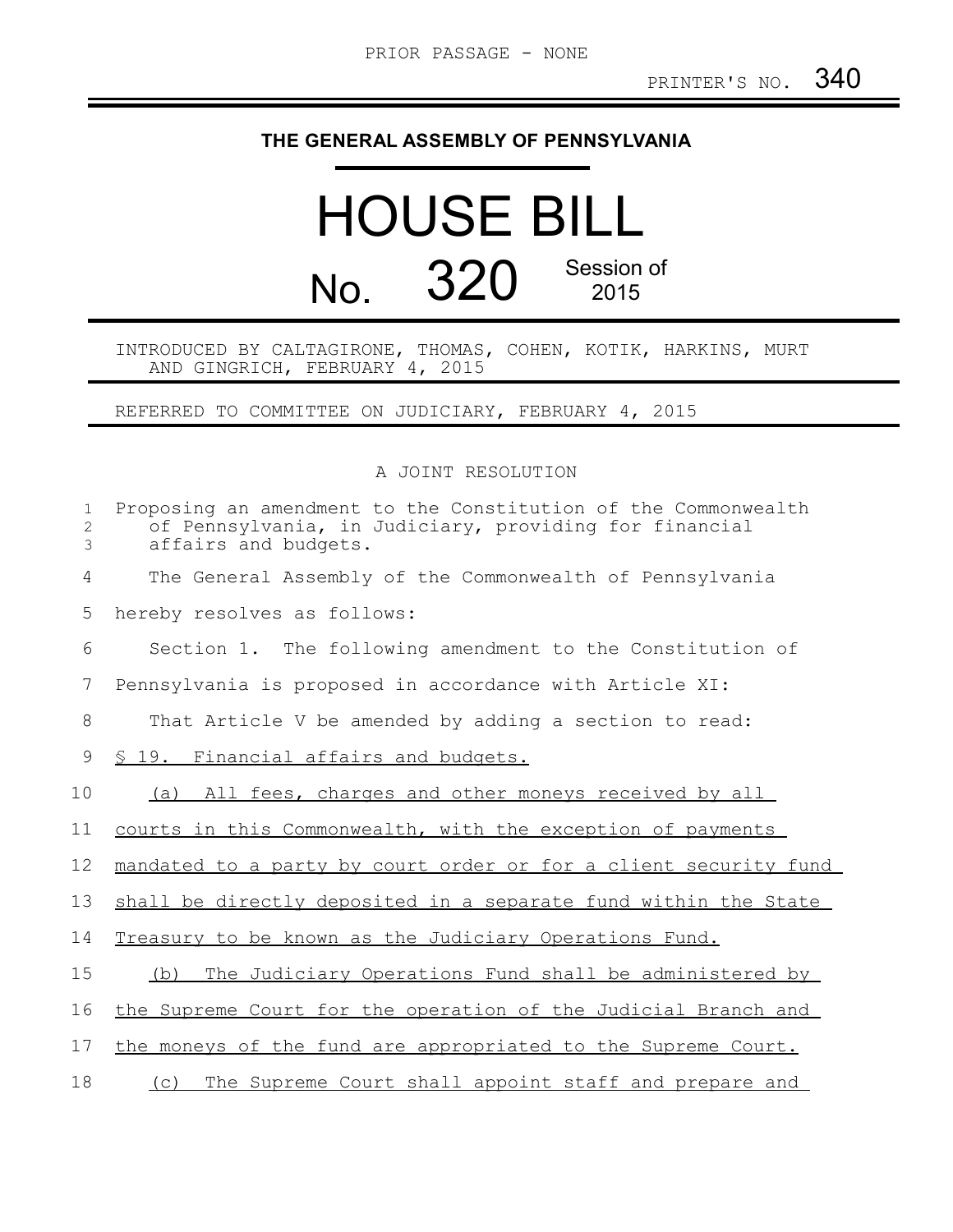## **THE GENERAL ASSEMBLY OF PENNSYLVANIA**

## HOUSE BILL No. 320 Session of 2015

## INTRODUCED BY CALTAGIRONE, THOMAS, COHEN, KOTIK, HARKINS, MURT AND GINGRICH, FEBRUARY 4, 2015

REFERRED TO COMMITTEE ON JUDICIARY, FEBRUARY 4, 2015

A JOINT RESOLUTION

| $\mathbf{1}$<br>2<br>3 | Proposing an amendment to the Constitution of the Commonwealth<br>of Pennsylvania, in Judiciary, providing for financial<br>affairs and budgets. |
|------------------------|--------------------------------------------------------------------------------------------------------------------------------------------------|
| 4                      | The General Assembly of the Commonwealth of Pennsylvania                                                                                         |
| 5                      | hereby resolves as follows:                                                                                                                      |
| 6                      | Section 1. The following amendment to the Constitution of                                                                                        |
| 7                      | Pennsylvania is proposed in accordance with Article XI:                                                                                          |
| 8                      | That Article V be amended by adding a section to read:                                                                                           |
| 9                      | § 19. Financial affairs and budgets.                                                                                                             |
| 10                     | (a) All fees, charges and other moneys received by all                                                                                           |
| 11                     | courts in this Commonwealth, with the exception of payments                                                                                      |
| 12                     | mandated to a party by court order or for a client security fund                                                                                 |
| 13                     | shall be directly deposited in a separate fund within the State                                                                                  |
| 14                     | Treasury to be known as the Judiciary Operations Fund.                                                                                           |
| 15                     | The Judiciary Operations Fund shall be administered by<br>(b)                                                                                    |
| 16                     | the Supreme Court for the operation of the Judicial Branch and                                                                                   |
| 17                     | the moneys of the fund are appropriated to the Supreme Court.                                                                                    |
| 18                     | The Supreme Court shall appoint staff and prepare and<br>(C)                                                                                     |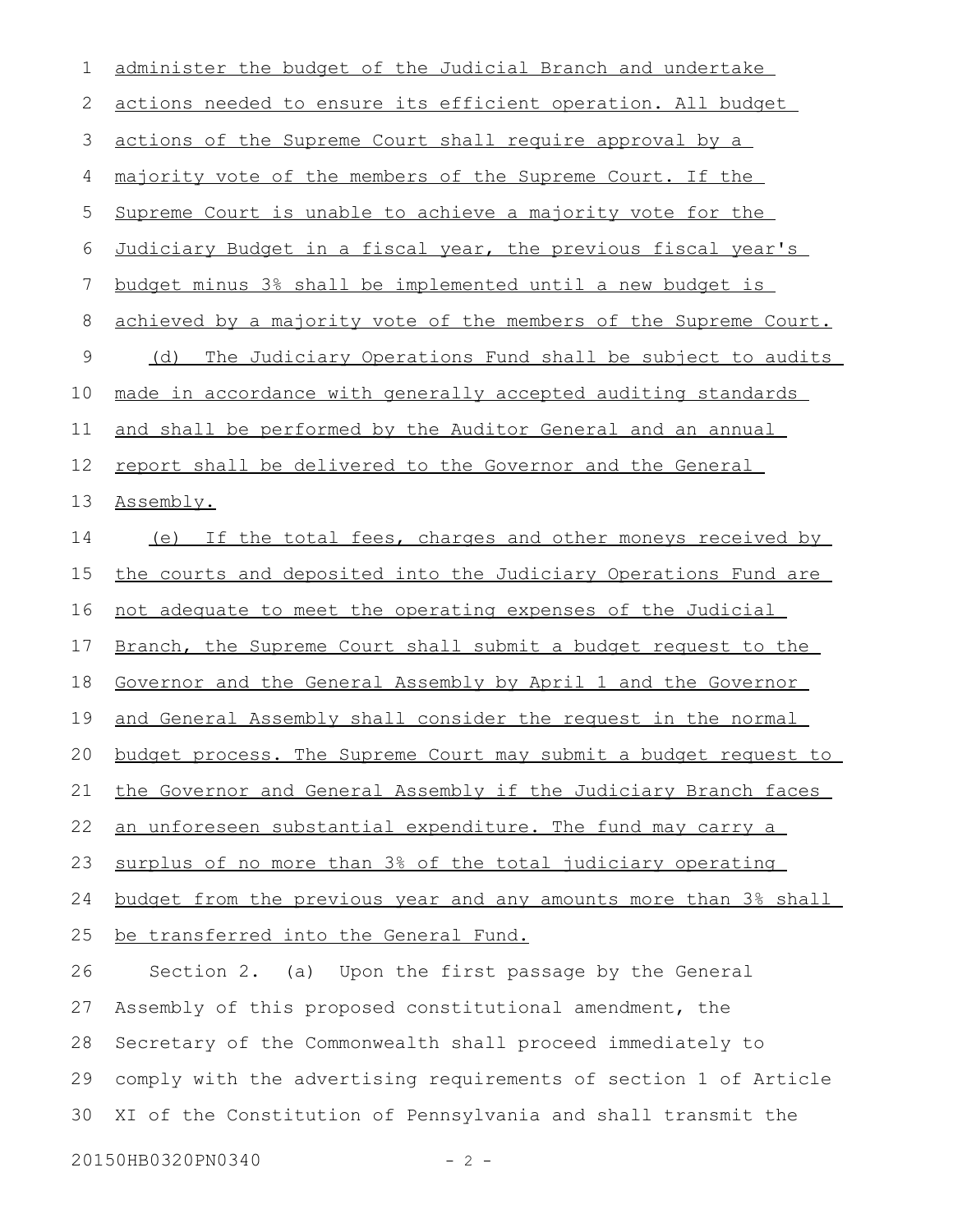| 1           | administer the budget of the Judicial Branch and undertake       |
|-------------|------------------------------------------------------------------|
| 2           | actions needed to ensure its efficient operation. All budget     |
| 3           | actions of the Supreme Court shall require approval by a         |
| 4           | majority vote of the members of the Supreme Court. If the        |
| 5           | Supreme Court is unable to achieve a majority vote for the       |
| 6           | Judiciary Budget in a fiscal year, the previous fiscal year's    |
| 7           | budget minus 3% shall be implemented until a new budget is       |
| 8           | achieved by a majority vote of the members of the Supreme Court. |
| $\mathsf 9$ | The Judiciary Operations Fund shall be subject to audits<br>(d)  |
| 10          | made in accordance with generally accepted auditing standards    |
| 11          | and shall be performed by the Auditor General and an annual      |
| 12          | report shall be delivered to the Governor and the General        |
| 13          | Assembly.                                                        |
| 14          | (e) If the total fees, charges and other moneys received by      |
| 15          | the courts and deposited into the Judiciary Operations Fund are  |
| 16          | not adequate to meet the operating expenses of the Judicial      |
| 17          | Branch, the Supreme Court shall submit a budget request to the   |
| 18          | Governor and the General Assembly by April 1 and the Governor    |
| 19          | and General Assembly shall consider the request in the normal    |
| 20          | budget process. The Supreme Court may submit a budget request to |
| 21          | the Governor and General Assembly if the Judiciary Branch faces  |
| 22          | an unforeseen substantial expenditure. The fund may carry a      |
| 23          | surplus of no more than 3% of the total judiciary operating      |
| 24          | budget from the previous year and any amounts more than 3% shall |
| 25          | be transferred into the General Fund.                            |
| 26          | Section 2. (a) Upon the first passage by the General             |
| 27          | Assembly of this proposed constitutional amendment, the          |
| 28          | Secretary of the Commonwealth shall proceed immediately to       |
| 29          | comply with the advertising requirements of section 1 of Article |
| 30          | XI of the Constitution of Pennsylvania and shall transmit the    |

20150HB0320PN0340 - 2 -